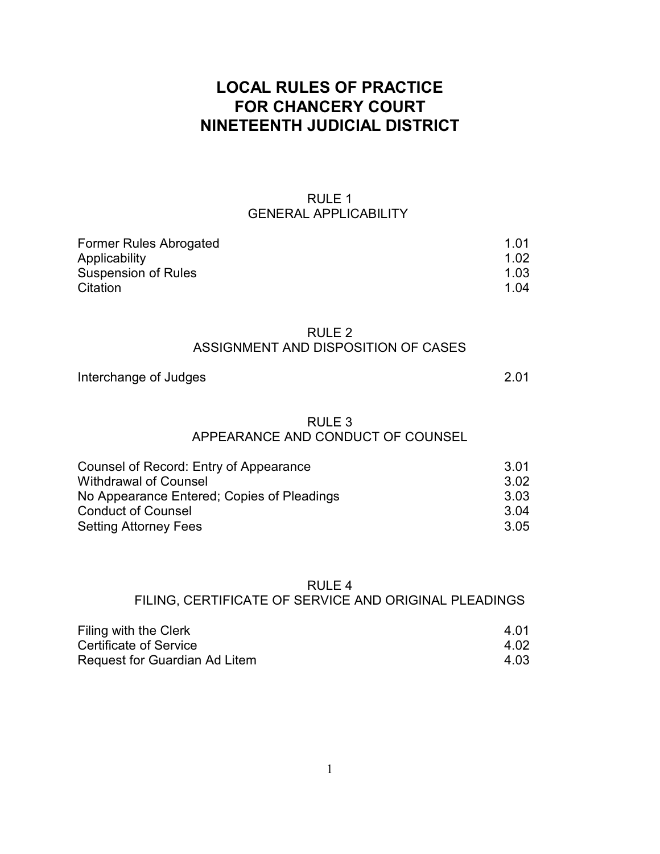# **LOCAL RULES OF PRACTICE FOR CHANCERY COURT NINETEENTH JUDICIAL DISTRICT**

# RULE 1 GENERAL APPLICABILITY

| Former Rules Abrogated     | 1.01 |
|----------------------------|------|
| Applicability              | 1.02 |
| <b>Suspension of Rules</b> | 1.03 |
| Citation                   | 1.04 |

# RULE 2 ASSIGNMENT AND DISPOSITION OF CASES

# Interchange of Judges 2.01

# RULE 3 APPEARANCE AND CONDUCT OF COUNSEL

| Counsel of Record: Entry of Appearance     | 3.01 |
|--------------------------------------------|------|
| <b>Withdrawal of Counsel</b>               | 3.02 |
| No Appearance Entered; Copies of Pleadings | 3.03 |
| <b>Conduct of Counsel</b>                  | 3.04 |
| <b>Setting Attorney Fees</b>               | 3.05 |

### RULE 4

## FILING, CERTIFICATE OF SERVICE AND ORIGINAL PLEADINGS

| Filing with the Clerk         | 4.01 |
|-------------------------------|------|
| Certificate of Service        | 4.02 |
| Request for Guardian Ad Litem | 4.03 |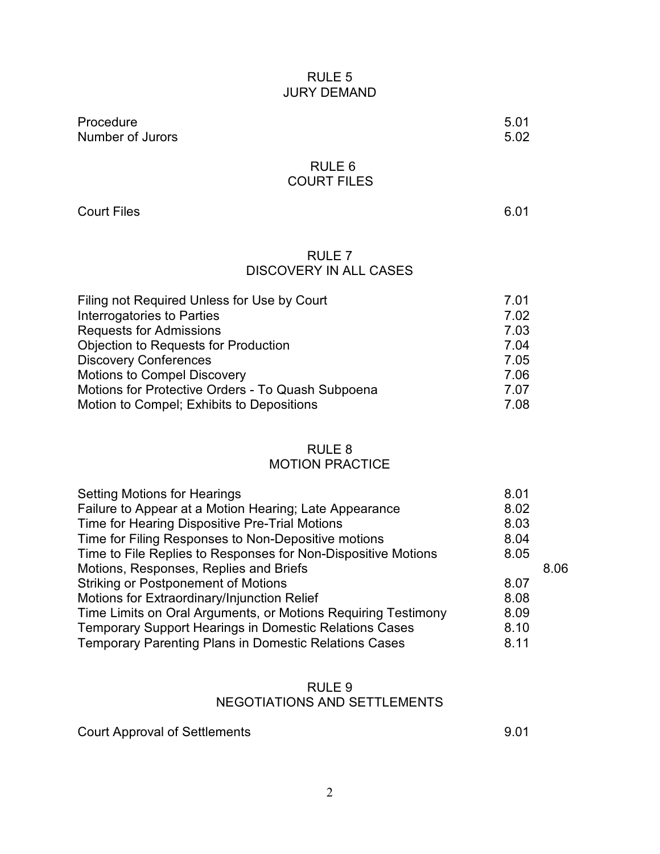# RULE 5 JURY DEMAND

Procedure 5.01<br>
Number of Jurors 5.02 Number of Jurors

RULE 6 COURT FILES

Court Files 6.01

# RULE 7 DISCOVERY IN ALL CASES

| Filing not Required Unless for Use by Court       | 7.01 |
|---------------------------------------------------|------|
| Interrogatories to Parties                        | 7.02 |
| <b>Requests for Admissions</b>                    | 7.03 |
| <b>Objection to Requests for Production</b>       | 7.04 |
| <b>Discovery Conferences</b>                      | 7.05 |
| <b>Motions to Compel Discovery</b>                | 7.06 |
| Motions for Protective Orders - To Quash Subpoena | 7.07 |
| Motion to Compel; Exhibits to Depositions         | 7.08 |

# RULE 8 MOTION PRACTICE

| <b>Setting Motions for Hearings</b>                           | 8.01 |      |
|---------------------------------------------------------------|------|------|
| Failure to Appear at a Motion Hearing; Late Appearance        | 8.02 |      |
| Time for Hearing Dispositive Pre-Trial Motions                | 8.03 |      |
| Time for Filing Responses to Non-Depositive motions           | 8.04 |      |
| Time to File Replies to Responses for Non-Dispositive Motions | 8.05 |      |
| Motions, Responses, Replies and Briefs                        |      | 8.06 |
| <b>Striking or Postponement of Motions</b>                    | 8.07 |      |
| Motions for Extraordinary/Injunction Relief                   | 8.08 |      |
| Time Limits on Oral Arguments, or Motions Requiring Testimony | 8.09 |      |
| <b>Temporary Support Hearings in Domestic Relations Cases</b> | 8.10 |      |
| <b>Temporary Parenting Plans in Domestic Relations Cases</b>  | 8.11 |      |
|                                                               |      |      |

# RULE 9 NEGOTIATIONS AND SETTLEMENTS

Court Approval of Settlements 8.01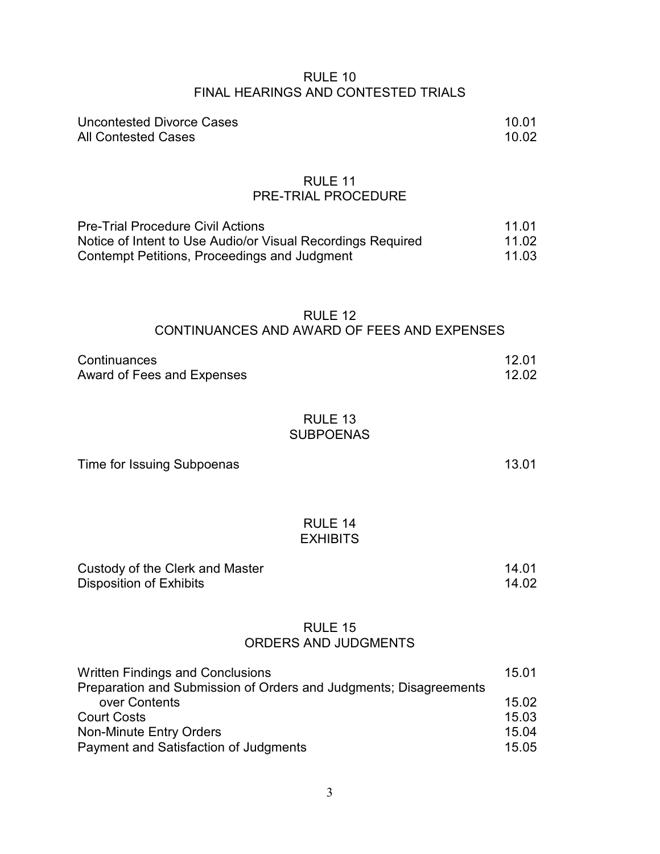# RULE 10 FINAL HEARINGS AND CONTESTED TRIALS

| <b>Uncontested Divorce Cases</b> | 10.01 |
|----------------------------------|-------|
| <b>All Contested Cases</b>       | 10.02 |

### RULE 11 PRE-TRIAL PROCEDURE

| <b>Pre-Trial Procedure Civil Actions</b>                    | 11.01 |
|-------------------------------------------------------------|-------|
| Notice of Intent to Use Audio/or Visual Recordings Required | 11.02 |
| Contempt Petitions, Proceedings and Judgment                | 11.03 |

## RULE 12 CONTINUANCES AND AWARD OF FEES AND EXPENSES

| Continuances<br>Award of Fees and Expenses                                         | 12.01<br>12.02 |
|------------------------------------------------------------------------------------|----------------|
| RULE 13<br><b>SUBPOENAS</b>                                                        |                |
| Time for Issuing Subpoenas                                                         | 13.01          |
| RULE 14<br><b>EXHIBITS</b>                                                         |                |
| Custody of the Clerk and Master<br><b>Disposition of Exhibits</b>                  | 14.01<br>14.02 |
| RULE 15<br><b>ORDERS AND JUDGMENTS</b>                                             |                |
| <b>Written Findings and Conclusions</b>                                            | 15.01          |
| Preparation and Submission of Orders and Judgments; Disagreements<br>over Contents | 15.02          |

| <b>Court Costs</b>                    | 15.03 |
|---------------------------------------|-------|
| Non-Minute Entry Orders               | 15.04 |
| Payment and Satisfaction of Judgments | 15.05 |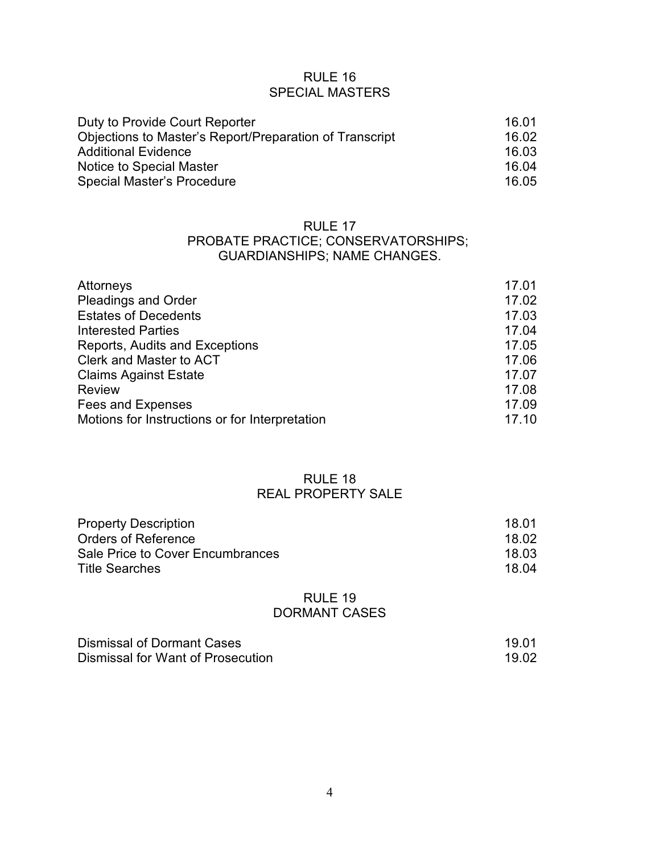# RULE 16 SPECIAL MASTERS

| Duty to Provide Court Reporter                          | 16.01  |
|---------------------------------------------------------|--------|
| Objections to Master's Report/Preparation of Transcript | 16.02  |
| <b>Additional Evidence</b>                              | 16.03. |
| Notice to Special Master                                | 16.04  |
| Special Master's Procedure                              | 16.05  |

### RULE 17

# PROBATE PRACTICE; CONSERVATORSHIPS; GUARDIANSHIPS; NAME CHANGES.

| Attorneys                                      | 17.01 |
|------------------------------------------------|-------|
| <b>Pleadings and Order</b>                     | 17.02 |
| <b>Estates of Decedents</b>                    | 17.03 |
| <b>Interested Parties</b>                      | 17.04 |
| Reports, Audits and Exceptions                 | 17.05 |
| Clerk and Master to ACT                        | 17.06 |
| <b>Claims Against Estate</b>                   | 17.07 |
| <b>Review</b>                                  | 17.08 |
| Fees and Expenses                              | 17.09 |
| Motions for Instructions or for Interpretation | 17.10 |

## RULE 18 REAL PROPERTY SALE

| <b>Property Description</b>      | 18.01 |
|----------------------------------|-------|
| Orders of Reference              | 18.02 |
| Sale Price to Cover Encumbrances | 18.03 |
| <b>Title Searches</b>            | 18.04 |

## RULE 19 DORMANT CASES

| Dismissal of Dormant Cases        | 19.01 |
|-----------------------------------|-------|
| Dismissal for Want of Prosecution | 19.02 |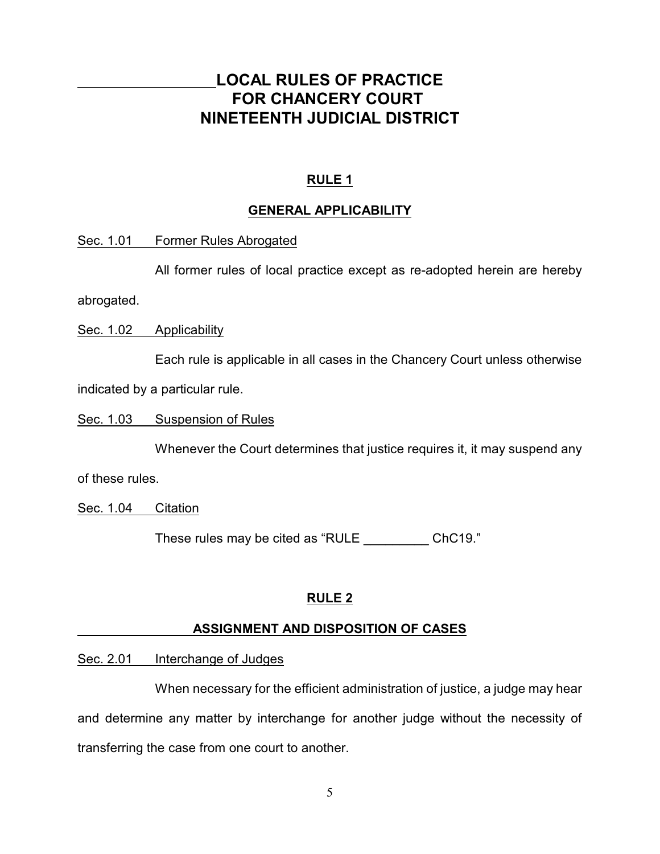# **LOCAL RULES OF PRACTICE FOR CHANCERY COURT NINETEENTH JUDICIAL DISTRICT**

# **RULE 1**

# **GENERAL APPLICABILITY**

Sec. 1.01 Former Rules Abrogated

All former rules of local practice except as re-adopted herein are hereby

abrogated.

Sec. 1.02 Applicability

Each rule is applicable in all cases in the Chancery Court unless otherwise

indicated by a particular rule.

Sec. 1.03 Suspension of Rules

Whenever the Court determines that justice requires it, it may suspend any

of these rules.

Sec. 1.04 Citation

These rules may be cited as "RULE ChC19."

# **RULE 2**

# **ASSIGNMENT AND DISPOSITION OF CASES**

Sec. 2.01 Interchange of Judges

When necessary for the efficient administration of justice, a judge may hear and determine any matter by interchange for another judge without the necessity of transferring the case from one court to another.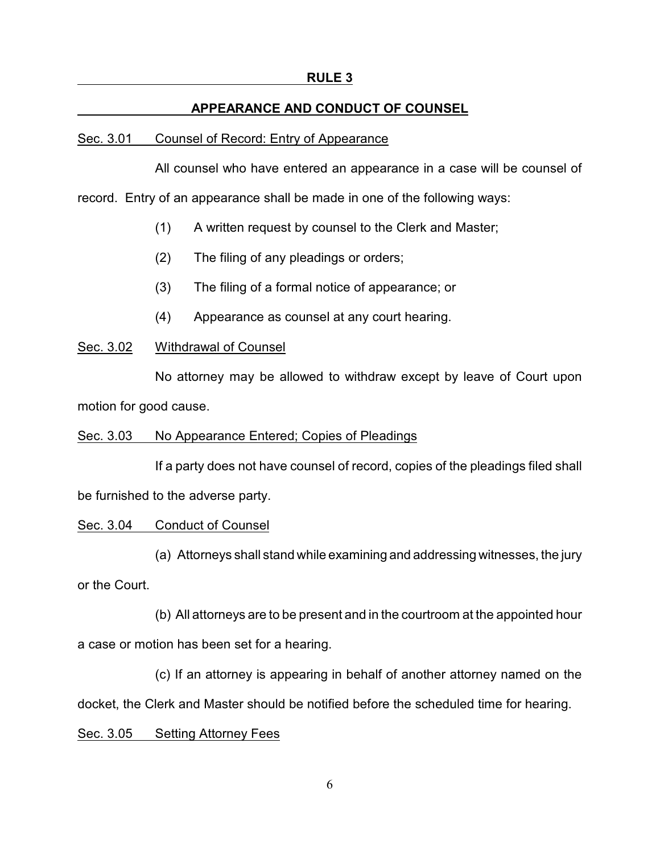### **RULE 3**

### **APPEARANCE AND CONDUCT OF COUNSEL**

#### Sec. 3.01 Counsel of Record: Entry of Appearance

All counsel who have entered an appearance in a case will be counsel of

record. Entry of an appearance shall be made in one of the following ways:

- (1) A written request by counsel to the Clerk and Master;
- (2) The filing of any pleadings or orders;
- (3) The filing of a formal notice of appearance; or
- (4) Appearance as counsel at any court hearing.

### Sec. 3.02 Withdrawal of Counsel

No attorney may be allowed to withdraw except by leave of Court upon motion for good cause.

### Sec. 3.03 No Appearance Entered; Copies of Pleadings

If a party does not have counsel of record, copies of the pleadings filed shall be furnished to the adverse party.

### Sec. 3.04 Conduct of Counsel

(a) Attorneys shall stand while examining and addressing witnesses, the jury or the Court.

(b) All attorneys are to be present and in the courtroom at the appointed hour a case or motion has been set for a hearing.

(c) If an attorney is appearing in behalf of another attorney named on the docket, the Clerk and Master should be notified before the scheduled time for hearing.

#### Sec. 3.05 Setting Attorney Fees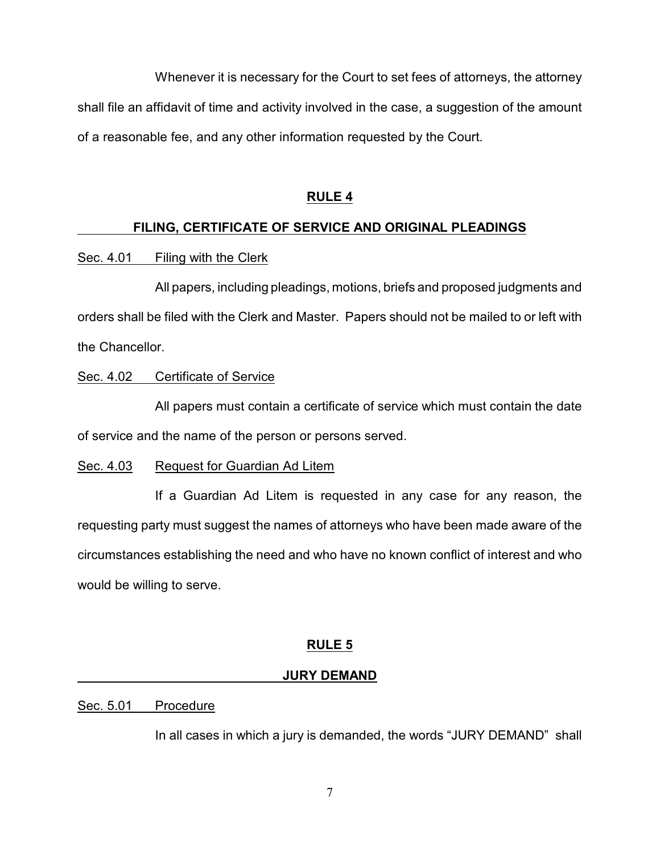Whenever it is necessary for the Court to set fees of attorneys, the attorney shall file an affidavit of time and activity involved in the case, a suggestion of the amount of a reasonable fee, and any other information requested by the Court.

## **RULE 4**

# **FILING, CERTIFICATE OF SERVICE AND ORIGINAL PLEADINGS**

# Sec. 4.01 Filing with the Clerk

All papers, including pleadings, motions, briefs and proposed judgments and orders shall be filed with the Clerk and Master. Papers should not be mailed to or left with the Chancellor.

# Sec. 4.02 Certificate of Service

All papers must contain a certificate of service which must contain the date of service and the name of the person or persons served.

# Sec. 4.03 Request for Guardian Ad Litem

If a Guardian Ad Litem is requested in any case for any reason, the requesting party must suggest the names of attorneys who have been made aware of the circumstances establishing the need and who have no known conflict of interest and who would be willing to serve.

# **RULE 5**

### **JURY DEMAND**

# Sec. 5.01 Procedure

In all cases in which a jury is demanded, the words "JURY DEMAND" shall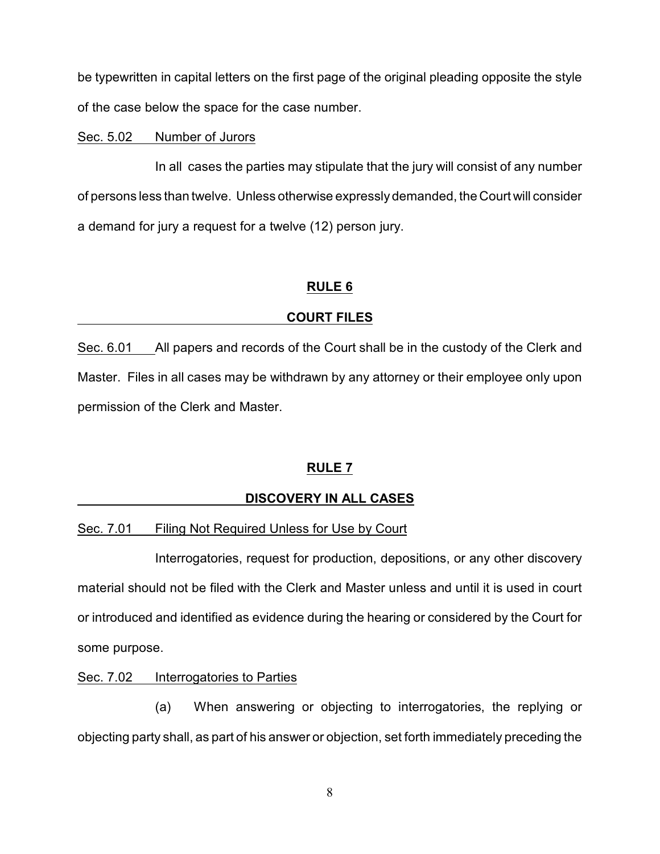be typewritten in capital letters on the first page of the original pleading opposite the style of the case below the space for the case number.

### Sec. 5.02 Number of Jurors

In all cases the parties may stipulate that the jury will consist of any number of persons less than twelve. Unless otherwise expressly demanded, the Court will consider a demand for jury a request for a twelve (12) person jury.

# **RULE 6**

# **COURT FILES**

Sec. 6.01 All papers and records of the Court shall be in the custody of the Clerk and Master. Files in all cases may be withdrawn by any attorney or their employee only upon permission of the Clerk and Master.

# **RULE 7**

# **DISCOVERY IN ALL CASES**

# Sec. 7.01 Filing Not Required Unless for Use by Court

Interrogatories, request for production, depositions, or any other discovery material should not be filed with the Clerk and Master unless and until it is used in court or introduced and identified as evidence during the hearing or considered by the Court for some purpose.

### Sec. 7.02 Interrogatories to Parties

(a) When answering or objecting to interrogatories, the replying or objecting party shall, as part of his answer or objection, set forth immediately preceding the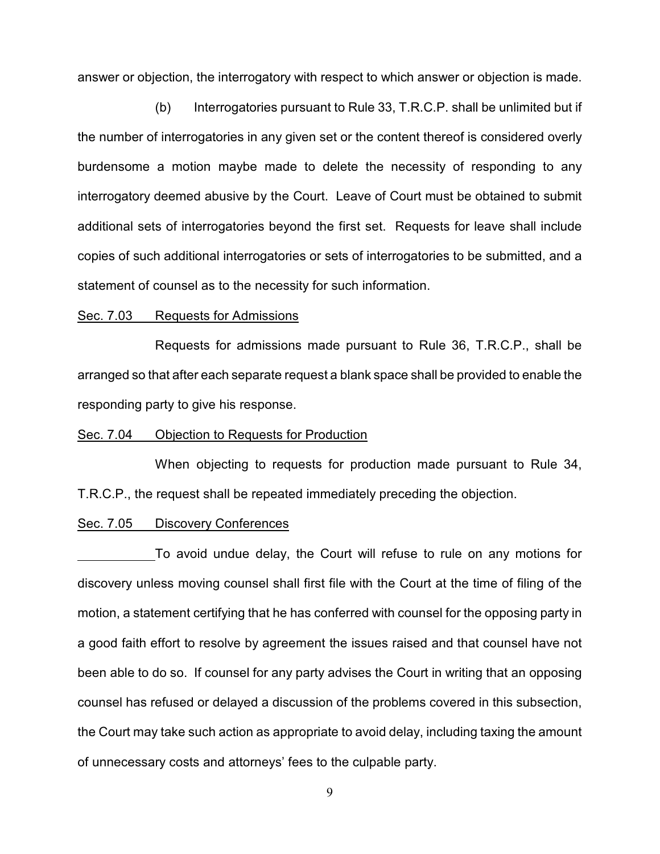answer or objection, the interrogatory with respect to which answer or objection is made.

(b) Interrogatories pursuant to Rule 33, T.R.C.P. shall be unlimited but if the number of interrogatories in any given set or the content thereof is considered overly burdensome a motion maybe made to delete the necessity of responding to any interrogatory deemed abusive by the Court. Leave of Court must be obtained to submit additional sets of interrogatories beyond the first set. Requests for leave shall include copies of such additional interrogatories or sets of interrogatories to be submitted, and a statement of counsel as to the necessity for such information.

### Sec. 7.03 Requests for Admissions

Requests for admissions made pursuant to Rule 36, T.R.C.P., shall be arranged so that after each separate request a blank space shall be provided to enable the responding party to give his response.

### Sec. 7.04 Objection to Requests for Production

When objecting to requests for production made pursuant to Rule 34, T.R.C.P., the request shall be repeated immediately preceding the objection.

### Sec. 7.05 Discovery Conferences

To avoid undue delay, the Court will refuse to rule on any motions for discovery unless moving counsel shall first file with the Court at the time of filing of the motion, a statement certifying that he has conferred with counsel for the opposing party in a good faith effort to resolve by agreement the issues raised and that counsel have not been able to do so. If counsel for any party advises the Court in writing that an opposing counsel has refused or delayed a discussion of the problems covered in this subsection, the Court may take such action as appropriate to avoid delay, including taxing the amount of unnecessary costs and attorneys' fees to the culpable party.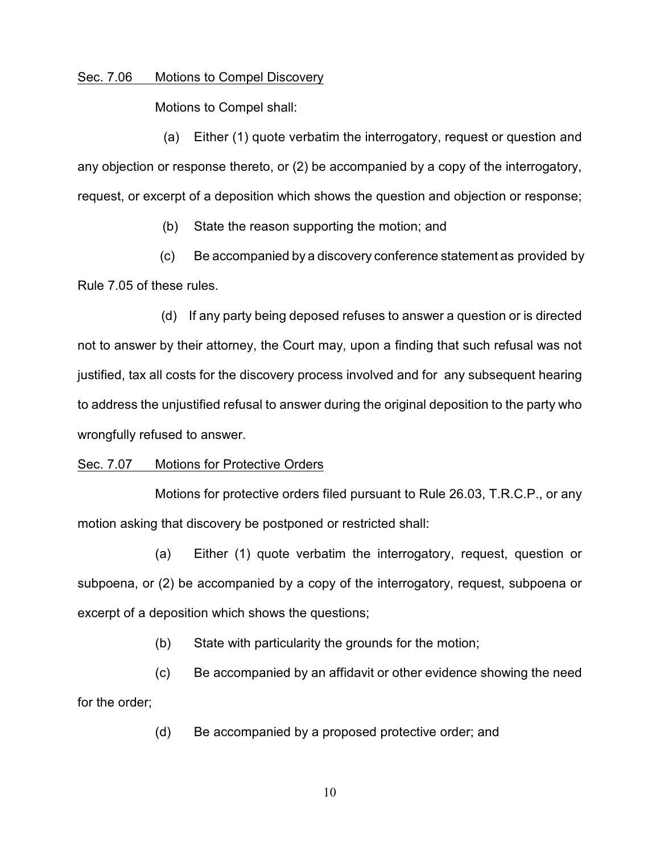### Sec. 7.06 Motions to Compel Discovery

Motions to Compel shall:

(a) Either (1) quote verbatim the interrogatory, request or question and any objection or response thereto, or (2) be accompanied by a copy of the interrogatory, request, or excerpt of a deposition which shows the question and objection or response;

(b) State the reason supporting the motion; and

 (c) Be accompanied by a discovery conference statement as provided by Rule 7.05 of these rules.

 (d) If any party being deposed refuses to answer a question or is directed not to answer by their attorney, the Court may, upon a finding that such refusal was not justified, tax all costs for the discovery process involved and for any subsequent hearing to address the unjustified refusal to answer during the original deposition to the party who wrongfully refused to answer.

### Sec. 7.07 Motions for Protective Orders

Motions for protective orders filed pursuant to Rule 26.03, T.R.C.P., or any motion asking that discovery be postponed or restricted shall:

(a) Either (1) quote verbatim the interrogatory, request, question or subpoena, or (2) be accompanied by a copy of the interrogatory, request, subpoena or excerpt of a deposition which shows the questions;

(b) State with particularity the grounds for the motion;

(c) Be accompanied by an affidavit or other evidence showing the need for the order;

(d) Be accompanied by a proposed protective order; and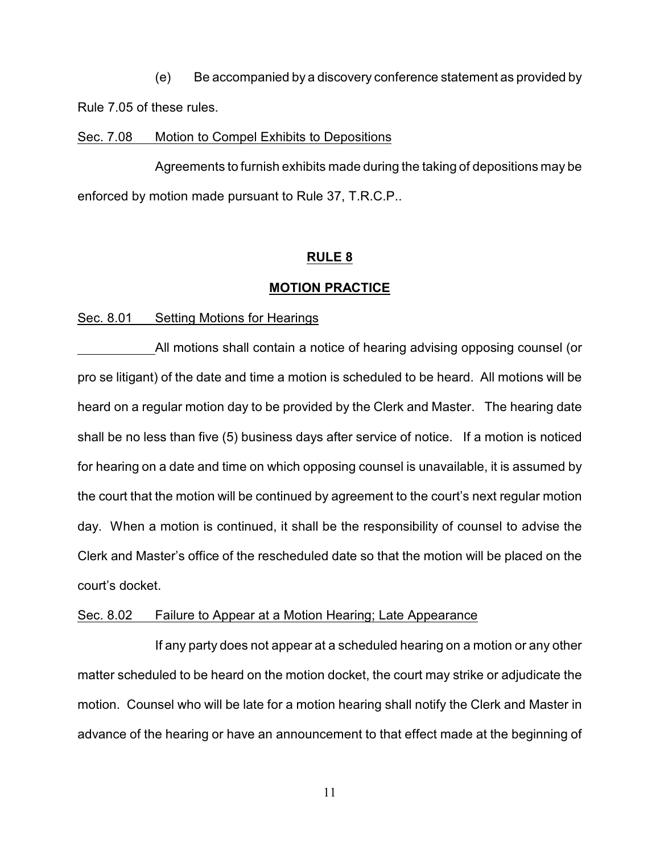(e) Be accompanied by a discovery conference statement as provided by Rule 7.05 of these rules.

### Sec. 7.08 Motion to Compel Exhibits to Depositions

Agreements to furnish exhibits made during the taking of depositions may be enforced by motion made pursuant to Rule 37, T.R.C.P..

### **RULE 8**

### **MOTION PRACTICE**

Sec. 8.01 Setting Motions for Hearings

All motions shall contain a notice of hearing advising opposing counsel (or pro se litigant) of the date and time a motion is scheduled to be heard. All motions will be heard on a regular motion day to be provided by the Clerk and Master. The hearing date shall be no less than five (5) business days after service of notice. If a motion is noticed for hearing on a date and time on which opposing counsel is unavailable, it is assumed by the court that the motion will be continued by agreement to the court's next regular motion day. When a motion is continued, it shall be the responsibility of counsel to advise the Clerk and Master's office of the rescheduled date so that the motion will be placed on the court's docket.

### Sec. 8.02 Failure to Appear at a Motion Hearing; Late Appearance

If any party does not appear at a scheduled hearing on a motion or any other matter scheduled to be heard on the motion docket, the court may strike or adjudicate the motion. Counsel who will be late for a motion hearing shall notify the Clerk and Master in advance of the hearing or have an announcement to that effect made at the beginning of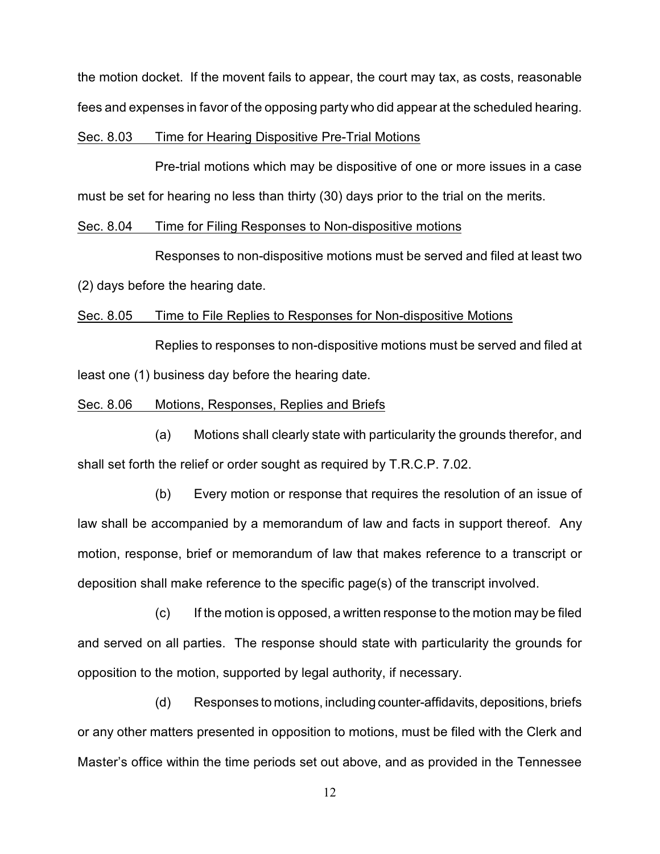the motion docket. If the movent fails to appear, the court may tax, as costs, reasonable fees and expenses in favor of the opposing party who did appear at the scheduled hearing.

### Sec. 8.03 Time for Hearing Dispositive Pre-Trial Motions

Pre-trial motions which may be dispositive of one or more issues in a case must be set for hearing no less than thirty (30) days prior to the trial on the merits.

### Sec. 8.04 Time for Filing Responses to Non-dispositive motions

Responses to non-dispositive motions must be served and filed at least two

(2) days before the hearing date.

### Sec. 8.05 Time to File Replies to Responses for Non-dispositive Motions

Replies to responses to non-dispositive motions must be served and filed at least one (1) business day before the hearing date.

### Sec. 8.06 Motions, Responses, Replies and Briefs

(a) Motions shall clearly state with particularity the grounds therefor, and shall set forth the relief or order sought as required by T.R.C.P. 7.02.

(b) Every motion or response that requires the resolution of an issue of law shall be accompanied by a memorandum of law and facts in support thereof. Any motion, response, brief or memorandum of law that makes reference to a transcript or deposition shall make reference to the specific page(s) of the transcript involved.

(c) If the motion is opposed, a written response to the motion may be filed and served on all parties. The response should state with particularity the grounds for opposition to the motion, supported by legal authority, if necessary.

(d) Responses to motions, including counter-affidavits, depositions, briefs or any other matters presented in opposition to motions, must be filed with the Clerk and Master's office within the time periods set out above, and as provided in the Tennessee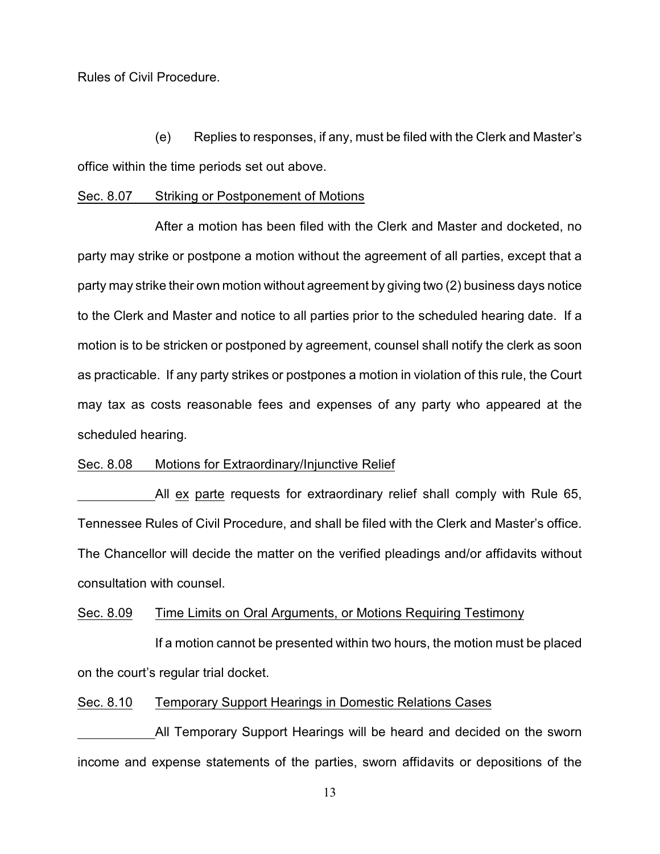Rules of Civil Procedure.

(e) Replies to responses, if any, must be filed with the Clerk and Master's office within the time periods set out above.

#### Sec. 8.07 Striking or Postponement of Motions

After a motion has been filed with the Clerk and Master and docketed, no party may strike or postpone a motion without the agreement of all parties, except that a party may strike their own motion without agreement by giving two (2) business days notice to the Clerk and Master and notice to all parties prior to the scheduled hearing date. If a motion is to be stricken or postponed by agreement, counsel shall notify the clerk as soon as practicable. If any party strikes or postpones a motion in violation of this rule, the Court may tax as costs reasonable fees and expenses of any party who appeared at the scheduled hearing.

### Sec. 8.08 Motions for Extraordinary/Injunctive Relief

All ex parte requests for extraordinary relief shall comply with Rule 65, Tennessee Rules of Civil Procedure, and shall be filed with the Clerk and Master's office. The Chancellor will decide the matter on the verified pleadings and/or affidavits without consultation with counsel.

# Sec. 8.09 Time Limits on Oral Arguments, or Motions Requiring Testimony

If a motion cannot be presented within two hours, the motion must be placed on the court's regular trial docket.

### Sec. 8.10 Temporary Support Hearings in Domestic Relations Cases

All Temporary Support Hearings will be heard and decided on the sworn income and expense statements of the parties, sworn affidavits or depositions of the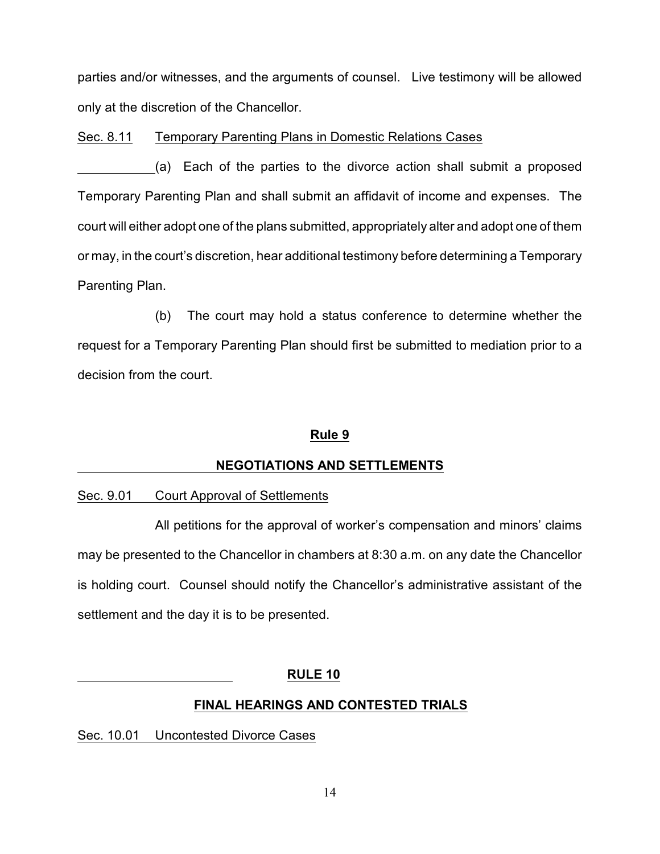parties and/or witnesses, and the arguments of counsel. Live testimony will be allowed only at the discretion of the Chancellor.

Sec. 8.11 Temporary Parenting Plans in Domestic Relations Cases

(a) Each of the parties to the divorce action shall submit a proposed Temporary Parenting Plan and shall submit an affidavit of income and expenses. The court will either adopt one of the plans submitted, appropriately alter and adopt one of them or may, in the court's discretion, hear additional testimony before determining a Temporary Parenting Plan.

(b) The court may hold a status conference to determine whether the request for a Temporary Parenting Plan should first be submitted to mediation prior to a decision from the court.

# **Rule 9**

# **NEGOTIATIONS AND SETTLEMENTS**

# Sec. 9.01 Court Approval of Settlements

All petitions for the approval of worker's compensation and minors' claims may be presented to the Chancellor in chambers at 8:30 a.m. on any date the Chancellor is holding court. Counsel should notify the Chancellor's administrative assistant of the settlement and the day it is to be presented.

# **RULE 10**

# **FINAL HEARINGS AND CONTESTED TRIALS**

Sec. 10.01 Uncontested Divorce Cases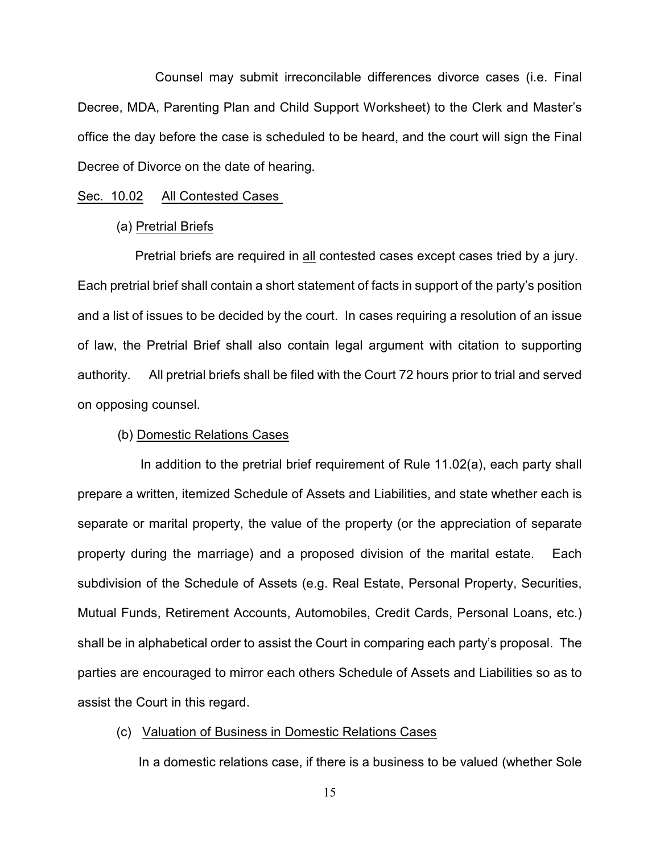Counsel may submit irreconcilable differences divorce cases (i.e. Final Decree, MDA, Parenting Plan and Child Support Worksheet) to the Clerk and Master's office the day before the case is scheduled to be heard, and the court will sign the Final Decree of Divorce on the date of hearing.

#### Sec. 10.02 All Contested Cases

#### (a) Pretrial Briefs

 Pretrial briefs are required in all contested cases except cases tried by a jury. Each pretrial brief shall contain a short statement of facts in support of the party's position and a list of issues to be decided by the court. In cases requiring a resolution of an issue of law, the Pretrial Brief shall also contain legal argument with citation to supporting authority. All pretrial briefs shall be filed with the Court 72 hours prior to trial and served on opposing counsel.

### (b) Domestic Relations Cases

 In addition to the pretrial brief requirement of Rule 11.02(a), each party shall prepare a written, itemized Schedule of Assets and Liabilities, and state whether each is separate or marital property, the value of the property (or the appreciation of separate property during the marriage) and a proposed division of the marital estate. Each subdivision of the Schedule of Assets (e.g. Real Estate, Personal Property, Securities, Mutual Funds, Retirement Accounts, Automobiles, Credit Cards, Personal Loans, etc.) shall be in alphabetical order to assist the Court in comparing each party's proposal. The parties are encouraged to mirror each others Schedule of Assets and Liabilities so as to assist the Court in this regard.

### (c) Valuation of Business in Domestic Relations Cases

In a domestic relations case, if there is a business to be valued (whether Sole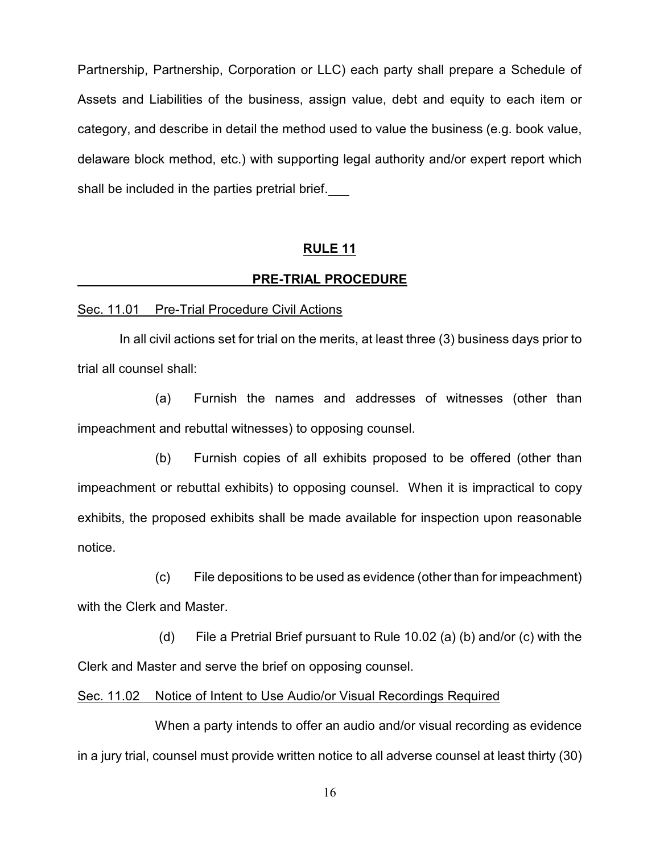Partnership, Partnership, Corporation or LLC) each party shall prepare a Schedule of Assets and Liabilities of the business, assign value, debt and equity to each item or category, and describe in detail the method used to value the business (e.g. book value, delaware block method, etc.) with supporting legal authority and/or expert report which shall be included in the parties pretrial brief.

### **RULE 11**

#### **PRE-TRIAL PROCEDURE**

#### Sec. 11.01 Pre-Trial Procedure Civil Actions

 In all civil actions set for trial on the merits, at least three (3) business days prior to trial all counsel shall:

(a) Furnish the names and addresses of witnesses (other than impeachment and rebuttal witnesses) to opposing counsel.

(b) Furnish copies of all exhibits proposed to be offered (other than impeachment or rebuttal exhibits) to opposing counsel. When it is impractical to copy exhibits, the proposed exhibits shall be made available for inspection upon reasonable notice.

(c) File depositions to be used as evidence (other than for impeachment) with the Clerk and Master.

 (d) File a Pretrial Brief pursuant to Rule 10.02 (a) (b) and/or (c) with the Clerk and Master and serve the brief on opposing counsel.

### Sec. 11.02 Notice of Intent to Use Audio/or Visual Recordings Required

When a party intends to offer an audio and/or visual recording as evidence in a jury trial, counsel must provide written notice to all adverse counsel at least thirty (30)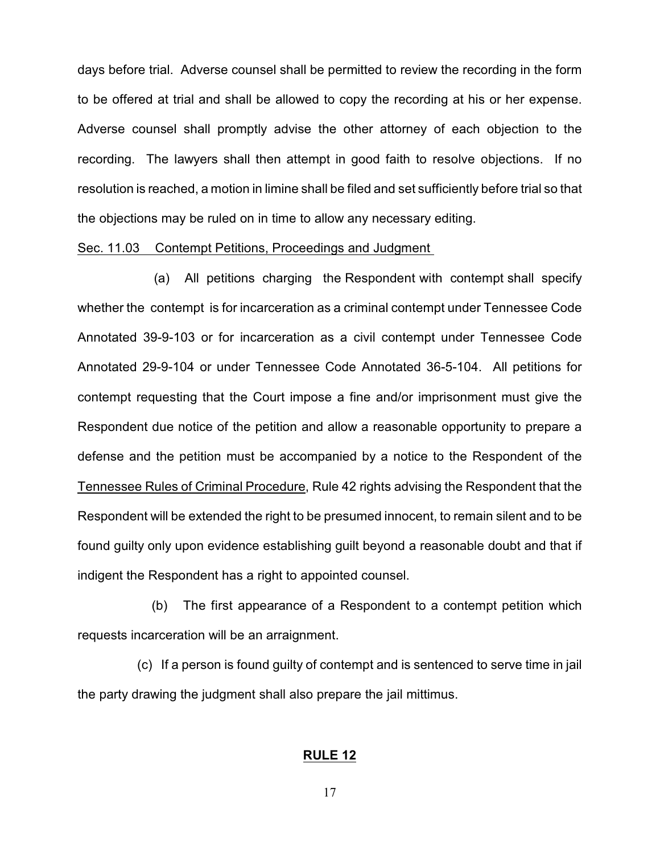days before trial. Adverse counsel shall be permitted to review the recording in the form to be offered at trial and shall be allowed to copy the recording at his or her expense. Adverse counsel shall promptly advise the other attorney of each objection to the recording. The lawyers shall then attempt in good faith to resolve objections. If no resolution is reached, a motion in limine shall be filed and set sufficiently before trial so that the objections may be ruled on in time to allow any necessary editing.

#### Sec. 11.03 Contempt Petitions, Proceedings and Judgment

 (a) All petitions charging the Respondent with contempt shall specify whether the contempt is for incarceration as a criminal contempt under Tennessee Code Annotated 39-9-103 or for incarceration as a civil contempt under Tennessee Code Annotated 29-9-104 or under Tennessee Code Annotated 36-5-104. All petitions for contempt requesting that the Court impose a fine and/or imprisonment must give the Respondent due notice of the petition and allow a reasonable opportunity to prepare a defense and the petition must be accompanied by a notice to the Respondent of the Tennessee Rules of Criminal Procedure, Rule 42 rights advising the Respondent that the Respondent will be extended the right to be presumed innocent, to remain silent and to be found guilty only upon evidence establishing guilt beyond a reasonable doubt and that if indigent the Respondent has a right to appointed counsel.

 (b) The first appearance of a Respondent to a contempt petition which requests incarceration will be an arraignment.

 (c) If a person is found guilty of contempt and is sentenced to serve time in jail the party drawing the judgment shall also prepare the jail mittimus.

### **RULE 12**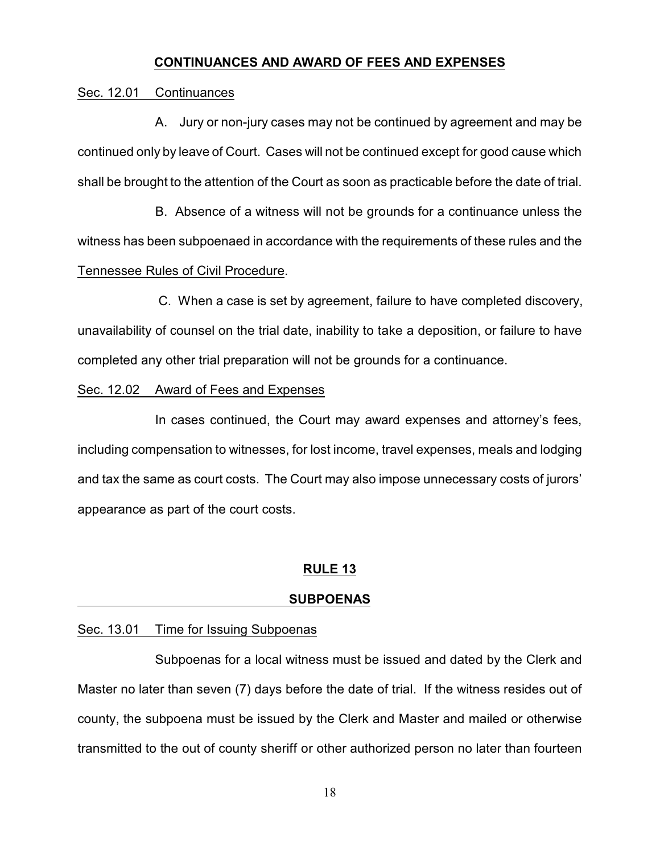### **CONTINUANCES AND AWARD OF FEES AND EXPENSES**

#### Sec. 12.01 Continuances

A. Jury or non-jury cases may not be continued by agreement and may be continued only by leave of Court. Cases will not be continued except for good cause which shall be brought to the attention of the Court as soon as practicable before the date of trial.

 B. Absence of a witness will not be grounds for a continuance unless the witness has been subpoenaed in accordance with the requirements of these rules and the Tennessee Rules of Civil Procedure.

C. When a case is set by agreement, failure to have completed discovery, unavailability of counsel on the trial date, inability to take a deposition, or failure to have completed any other trial preparation will not be grounds for a continuance.

### Sec. 12.02 Award of Fees and Expenses

In cases continued, the Court may award expenses and attorney's fees, including compensation to witnesses, for lost income, travel expenses, meals and lodging and tax the same as court costs. The Court may also impose unnecessary costs of jurors' appearance as part of the court costs.

## **RULE 13**

#### **SUBPOENAS**

#### Sec. 13.01 Time for Issuing Subpoenas

Subpoenas for a local witness must be issued and dated by the Clerk and Master no later than seven (7) days before the date of trial. If the witness resides out of county, the subpoena must be issued by the Clerk and Master and mailed or otherwise transmitted to the out of county sheriff or other authorized person no later than fourteen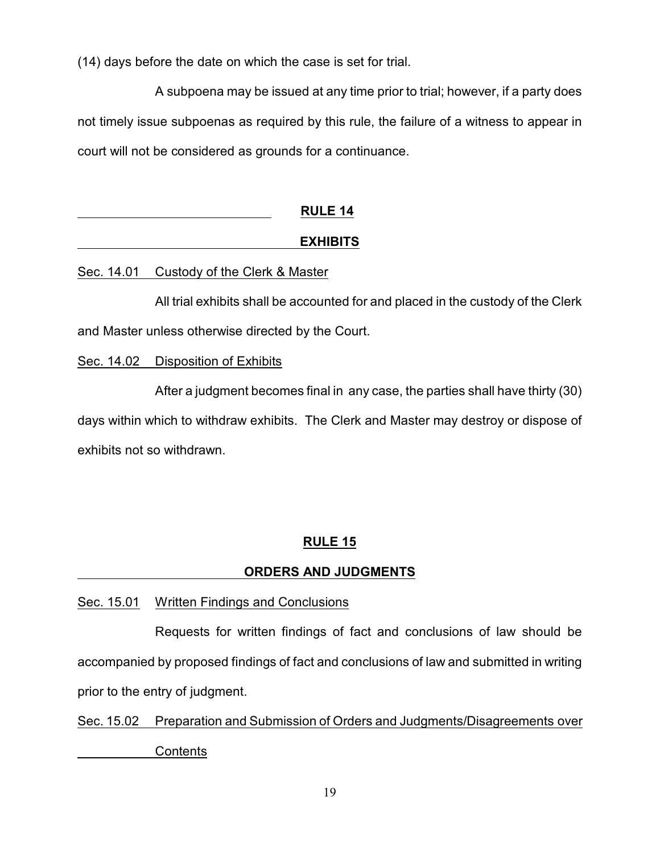(14) days before the date on which the case is set for trial.

A subpoena may be issued at any time prior to trial; however, if a party does not timely issue subpoenas as required by this rule, the failure of a witness to appear in court will not be considered as grounds for a continuance.

| <b>RULE 14</b>  |
|-----------------|
| <b>EXHIBITS</b> |

# Sec. 14.01 Custody of the Clerk & Master

All trial exhibits shall be accounted for and placed in the custody of the Clerk and Master unless otherwise directed by the Court.

# Sec. 14.02 Disposition of Exhibits

After a judgment becomes final in any case, the parties shall have thirty (30) days within which to withdraw exhibits. The Clerk and Master may destroy or dispose of exhibits not so withdrawn.

# **RULE 15**

# **ORDERS AND JUDGMENTS**

# Sec. 15.01 Written Findings and Conclusions

Requests for written findings of fact and conclusions of law should be accompanied by proposed findings of fact and conclusions of law and submitted in writing prior to the entry of judgment.

Sec. 15.02 Preparation and Submission of Orders and Judgments/Disagreements over **Contents**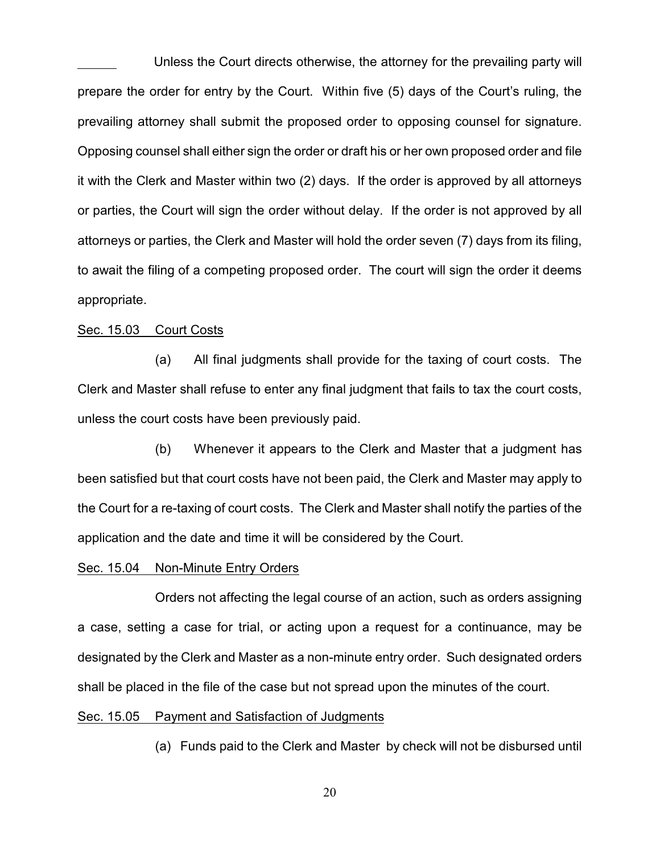Unless the Court directs otherwise, the attorney for the prevailing party will prepare the order for entry by the Court. Within five (5) days of the Court's ruling, the prevailing attorney shall submit the proposed order to opposing counsel for signature. Opposing counsel shall either sign the order or draft his or her own proposed order and file it with the Clerk and Master within two (2) days. If the order is approved by all attorneys or parties, the Court will sign the order without delay. If the order is not approved by all attorneys or parties, the Clerk and Master will hold the order seven (7) days from its filing, to await the filing of a competing proposed order. The court will sign the order it deems appropriate.

#### Sec. 15.03 Court Costs

(a) All final judgments shall provide for the taxing of court costs. The Clerk and Master shall refuse to enter any final judgment that fails to tax the court costs, unless the court costs have been previously paid.

(b) Whenever it appears to the Clerk and Master that a judgment has been satisfied but that court costs have not been paid, the Clerk and Master may apply to the Court for a re-taxing of court costs. The Clerk and Master shall notify the parties of the application and the date and time it will be considered by the Court.

#### Sec. 15.04 Non-Minute Entry Orders

Orders not affecting the legal course of an action, such as orders assigning a case, setting a case for trial, or acting upon a request for a continuance, may be designated by the Clerk and Master as a non-minute entry order. Such designated orders shall be placed in the file of the case but not spread upon the minutes of the court.

#### Sec. 15.05 Payment and Satisfaction of Judgments

(a) Funds paid to the Clerk and Master by check will not be disbursed until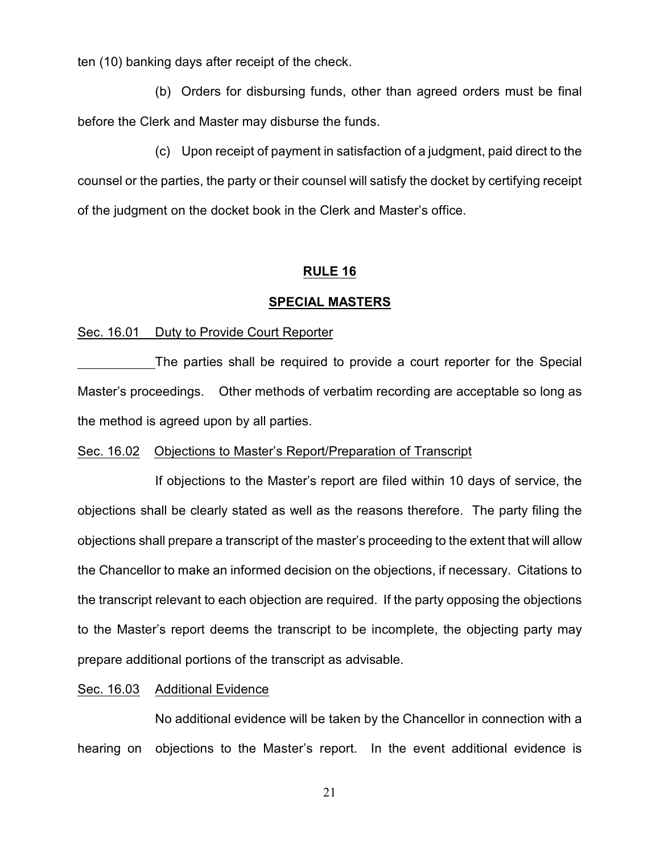ten (10) banking days after receipt of the check.

(b) Orders for disbursing funds, other than agreed orders must be final before the Clerk and Master may disburse the funds.

(c) Upon receipt of payment in satisfaction of a judgment, paid direct to the counsel or the parties, the party or their counsel will satisfy the docket by certifying receipt of the judgment on the docket book in the Clerk and Master's office.

#### **RULE 16**

#### **SPECIAL MASTERS**

### Sec. 16.01 Duty to Provide Court Reporter

The parties shall be required to provide a court reporter for the Special Master's proceedings. Other methods of verbatim recording are acceptable so long as the method is agreed upon by all parties.

### Sec. 16.02 Objections to Master's Report/Preparation of Transcript

If objections to the Master's report are filed within 10 days of service, the objections shall be clearly stated as well as the reasons therefore. The party filing the objections shall prepare a transcript of the master's proceeding to the extent that will allow the Chancellor to make an informed decision on the objections, if necessary. Citations to the transcript relevant to each objection are required. If the party opposing the objections to the Master's report deems the transcript to be incomplete, the objecting party may prepare additional portions of the transcript as advisable.

### Sec. 16.03 Additional Evidence

No additional evidence will be taken by the Chancellor in connection with a hearing on objections to the Master's report. In the event additional evidence is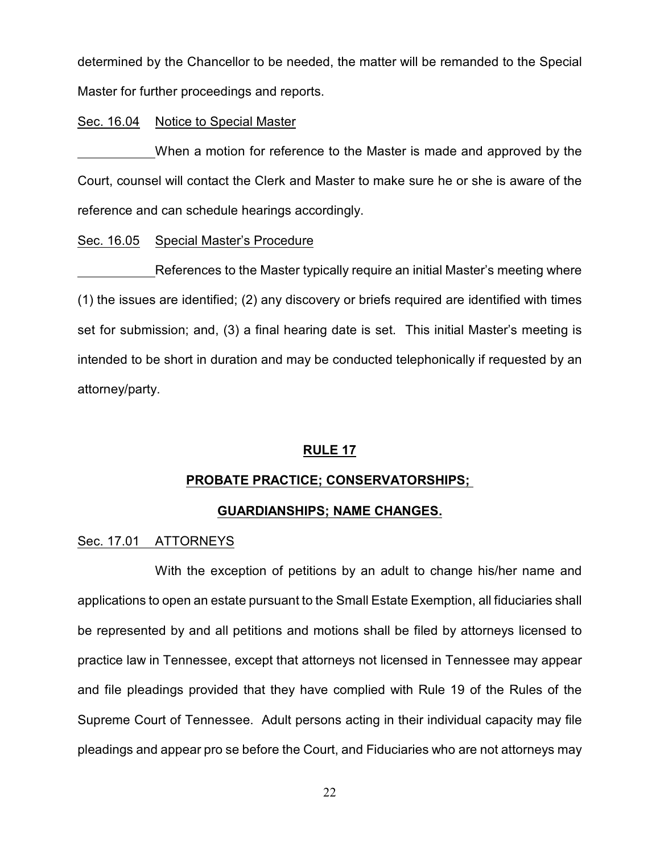determined by the Chancellor to be needed, the matter will be remanded to the Special Master for further proceedings and reports.

### Sec. 16.04 Notice to Special Master

When a motion for reference to the Master is made and approved by the Court, counsel will contact the Clerk and Master to make sure he or she is aware of the reference and can schedule hearings accordingly.

### Sec. 16.05 Special Master's Procedure

References to the Master typically require an initial Master's meeting where (1) the issues are identified; (2) any discovery or briefs required are identified with times set for submission; and, (3) a final hearing date is set. This initial Master's meeting is intended to be short in duration and may be conducted telephonically if requested by an attorney/party.

### **RULE 17**

### **PROBATE PRACTICE; CONSERVATORSHIPS;**

### **GUARDIANSHIPS; NAME CHANGES.**

### Sec. 17.01 ATTORNEYS

With the exception of petitions by an adult to change his/her name and applications to open an estate pursuant to the Small Estate Exemption, all fiduciaries shall be represented by and all petitions and motions shall be filed by attorneys licensed to practice law in Tennessee, except that attorneys not licensed in Tennessee may appear and file pleadings provided that they have complied with Rule 19 of the Rules of the Supreme Court of Tennessee. Adult persons acting in their individual capacity may file pleadings and appear pro se before the Court, and Fiduciaries who are not attorneys may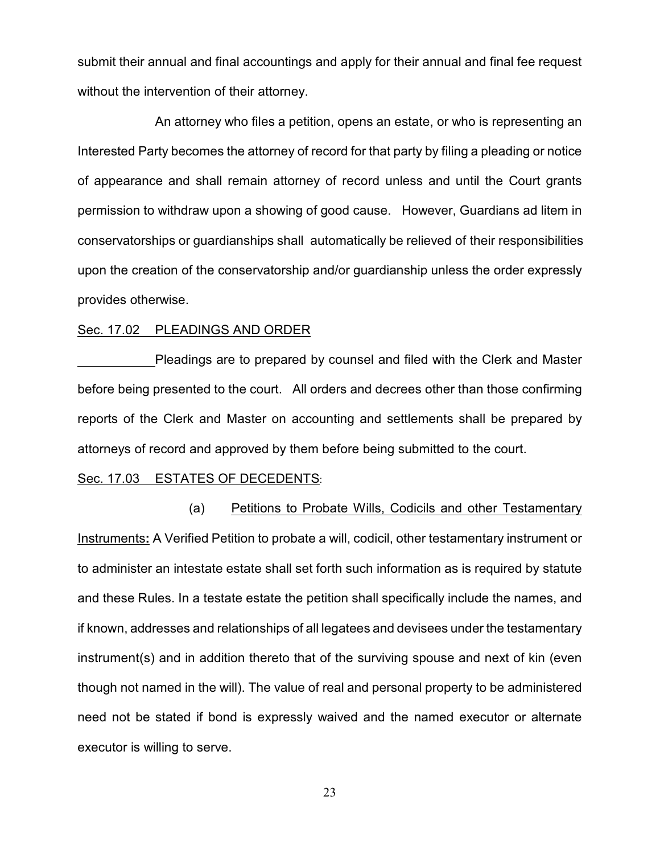submit their annual and final accountings and apply for their annual and final fee request without the intervention of their attorney.

An attorney who files a petition, opens an estate, or who is representing an Interested Party becomes the attorney of record for that party by filing a pleading or notice of appearance and shall remain attorney of record unless and until the Court grants permission to withdraw upon a showing of good cause. However, Guardians ad litem in conservatorships or guardianships shall automatically be relieved of their responsibilities upon the creation of the conservatorship and/or guardianship unless the order expressly provides otherwise.

#### Sec. 17.02 PLEADINGS AND ORDER

Pleadings are to prepared by counsel and filed with the Clerk and Master before being presented to the court. All orders and decrees other than those confirming reports of the Clerk and Master on accounting and settlements shall be prepared by attorneys of record and approved by them before being submitted to the court.

#### Sec. 17.03 ESTATES OF DECEDENTS:

 (a) Petitions to Probate Wills, Codicils and other Testamentary Instruments**:** A Verified Petition to probate a will, codicil, other testamentary instrument or to administer an intestate estate shall set forth such information as is required by statute and these Rules. In a testate estate the petition shall specifically include the names, and if known, addresses and relationships of all legatees and devisees under the testamentary instrument(s) and in addition thereto that of the surviving spouse and next of kin (even though not named in the will). The value of real and personal property to be administered need not be stated if bond is expressly waived and the named executor or alternate executor is willing to serve.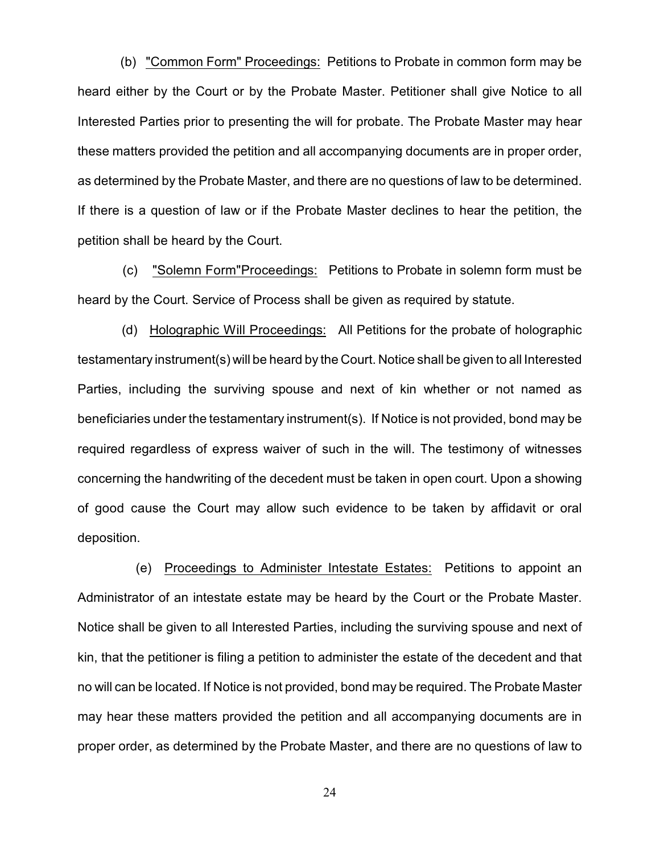(b) "Common Form" Proceedings: Petitions to Probate in common form may be heard either by the Court or by the Probate Master. Petitioner shall give Notice to all Interested Parties prior to presenting the will for probate. The Probate Master may hear these matters provided the petition and all accompanying documents are in proper order, as determined by the Probate Master, and there are no questions of law to be determined. If there is a question of law or if the Probate Master declines to hear the petition, the petition shall be heard by the Court.

 (c) "Solemn Form"Proceedings: Petitions to Probate in solemn form must be heard by the Court. Service of Process shall be given as required by statute.

 (d) Holographic Will Proceedings: All Petitions for the probate of holographic testamentary instrument(s) will be heard by the Court. Notice shall be given to all Interested Parties, including the surviving spouse and next of kin whether or not named as beneficiaries under the testamentary instrument(s). If Notice is not provided, bond may be required regardless of express waiver of such in the will. The testimony of witnesses concerning the handwriting of the decedent must be taken in open court. Upon a showing of good cause the Court may allow such evidence to be taken by affidavit or oral deposition.

 (e) Proceedings to Administer Intestate Estates: Petitions to appoint an Administrator of an intestate estate may be heard by the Court or the Probate Master. Notice shall be given to all Interested Parties, including the surviving spouse and next of kin, that the petitioner is filing a petition to administer the estate of the decedent and that no will can be located. If Notice is not provided, bond may be required. The Probate Master may hear these matters provided the petition and all accompanying documents are in proper order, as determined by the Probate Master, and there are no questions of law to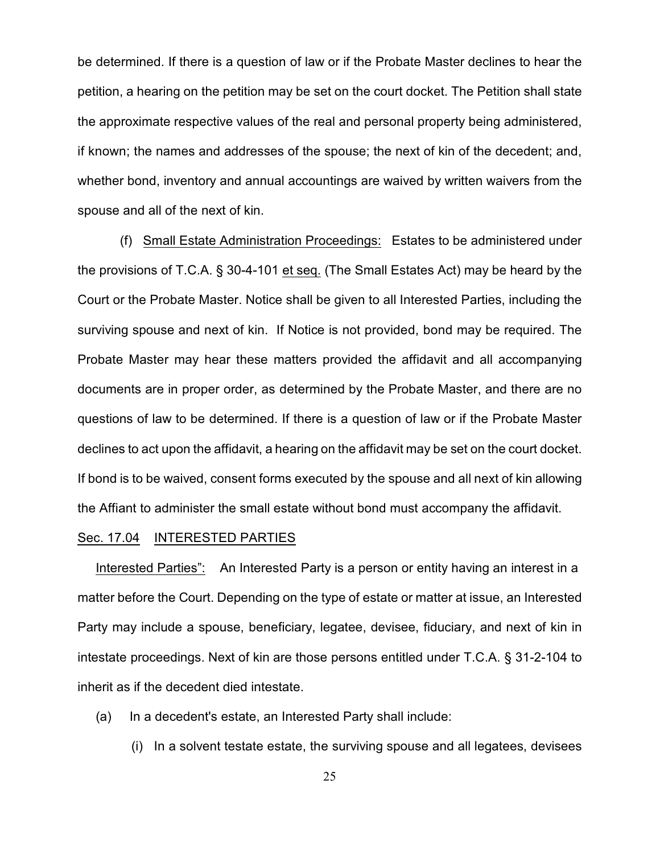be determined. If there is a question of law or if the Probate Master declines to hear the petition, a hearing on the petition may be set on the court docket. The Petition shall state the approximate respective values of the real and personal property being administered, if known; the names and addresses of the spouse; the next of kin of the decedent; and, whether bond, inventory and annual accountings are waived by written waivers from the spouse and all of the next of kin.

 (f) Small Estate Administration Proceedings: Estates to be administered under the provisions of T.C.A. § 30-4-101 et seq. (The Small Estates Act) may be heard by the Court or the Probate Master. Notice shall be given to all Interested Parties, including the surviving spouse and next of kin. If Notice is not provided, bond may be required. The Probate Master may hear these matters provided the affidavit and all accompanying documents are in proper order, as determined by the Probate Master, and there are no questions of law to be determined. If there is a question of law or if the Probate Master declines to act upon the affidavit, a hearing on the affidavit may be set on the court docket. If bond is to be waived, consent forms executed by the spouse and all next of kin allowing the Affiant to administer the small estate without bond must accompany the affidavit.

#### Sec. 17.04 INTERESTED PARTIES

Interested Parties": An Interested Party is a person or entity having an interest in a matter before the Court. Depending on the type of estate or matter at issue, an Interested Party may include a spouse, beneficiary, legatee, devisee, fiduciary, and next of kin in intestate proceedings. Next of kin are those persons entitled under T.C.A. § 31-2-104 to inherit as if the decedent died intestate.

- (a) In a decedent's estate, an Interested Party shall include:
	- (i) In a solvent testate estate, the surviving spouse and all legatees, devisees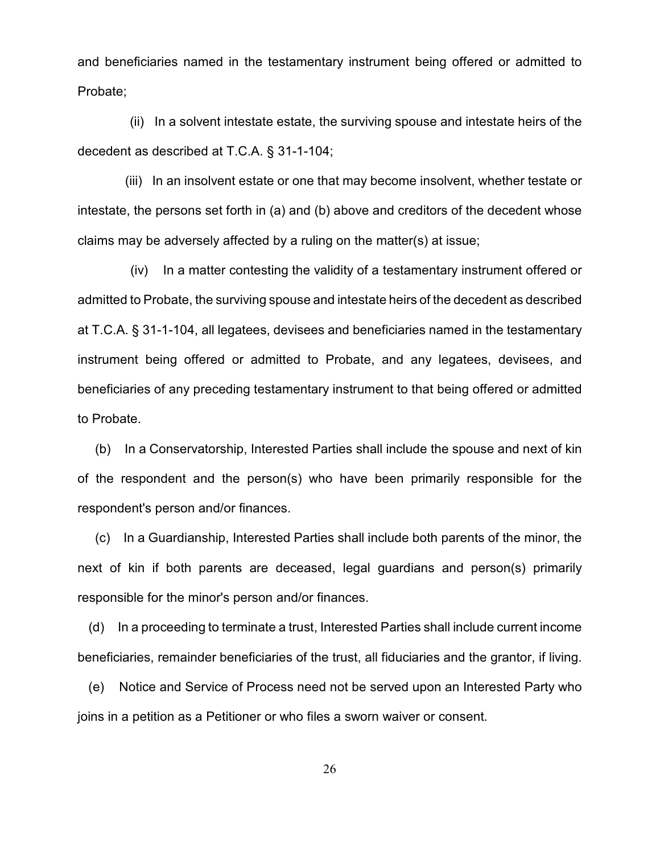and beneficiaries named in the testamentary instrument being offered or admitted to Probate;

 (ii) In a solvent intestate estate, the surviving spouse and intestate heirs of the decedent as described at T.C.A. § 31-1-104;

 (iii) In an insolvent estate or one that may become insolvent, whether testate or intestate, the persons set forth in (a) and (b) above and creditors of the decedent whose claims may be adversely affected by a ruling on the matter(s) at issue;

 (iv) In a matter contesting the validity of a testamentary instrument offered or admitted to Probate, the surviving spouse and intestate heirs of the decedent as described at T.C.A. § 31-1-104, all legatees, devisees and beneficiaries named in the testamentary instrument being offered or admitted to Probate, and any legatees, devisees, and beneficiaries of any preceding testamentary instrument to that being offered or admitted to Probate.

 (b) In a Conservatorship, Interested Parties shall include the spouse and next of kin of the respondent and the person(s) who have been primarily responsible for the respondent's person and/or finances.

 (c) In a Guardianship, Interested Parties shall include both parents of the minor, the next of kin if both parents are deceased, legal guardians and person(s) primarily responsible for the minor's person and/or finances.

 (d) In a proceeding to terminate a trust, Interested Parties shall include current income beneficiaries, remainder beneficiaries of the trust, all fiduciaries and the grantor, if living.

 (e) Notice and Service of Process need not be served upon an Interested Party who joins in a petition as a Petitioner or who files a sworn waiver or consent.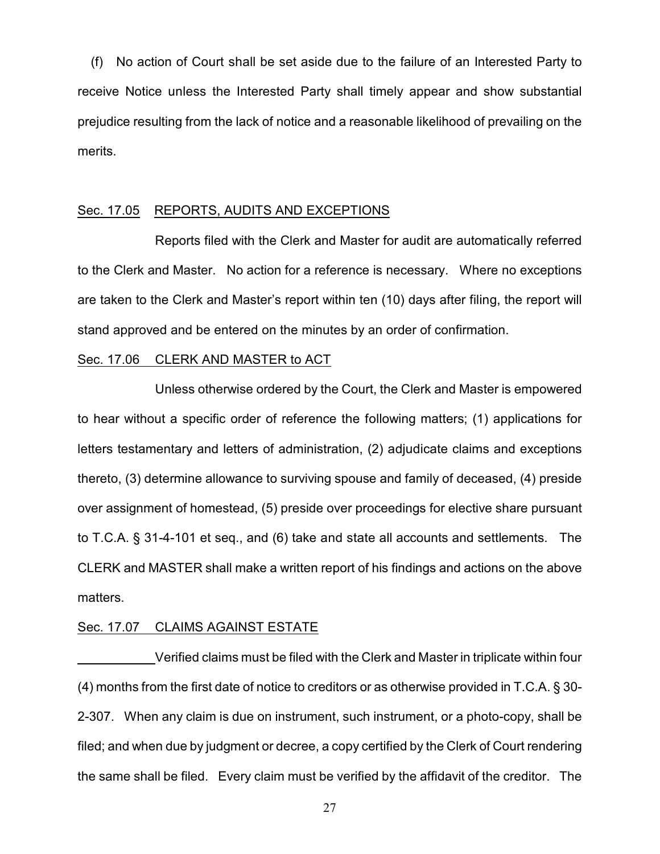(f) No action of Court shall be set aside due to the failure of an Interested Party to receive Notice unless the Interested Party shall timely appear and show substantial prejudice resulting from the lack of notice and a reasonable likelihood of prevailing on the merits.

#### Sec. 17.05 REPORTS, AUDITS AND EXCEPTIONS

Reports filed with the Clerk and Master for audit are automatically referred to the Clerk and Master. No action for a reference is necessary. Where no exceptions are taken to the Clerk and Master's report within ten (10) days after filing, the report will stand approved and be entered on the minutes by an order of confirmation.

#### Sec. 17.06 CLERK AND MASTER to ACT

Unless otherwise ordered by the Court, the Clerk and Master is empowered to hear without a specific order of reference the following matters; (1) applications for letters testamentary and letters of administration, (2) adjudicate claims and exceptions thereto, (3) determine allowance to surviving spouse and family of deceased, (4) preside over assignment of homestead, (5) preside over proceedings for elective share pursuant to T.C.A. § 31-4-101 et seq., and (6) take and state all accounts and settlements. The CLERK and MASTER shall make a written report of his findings and actions on the above matters.

#### Sec. 17.07 CLAIMS AGAINST ESTATE

Verified claims must be filed with the Clerk and Master in triplicate within four (4) months from the first date of notice to creditors or as otherwise provided in T.C.A. § 30- 2-307. When any claim is due on instrument, such instrument, or a photo-copy, shall be filed; and when due by judgment or decree, a copy certified by the Clerk of Court rendering the same shall be filed. Every claim must be verified by the affidavit of the creditor. The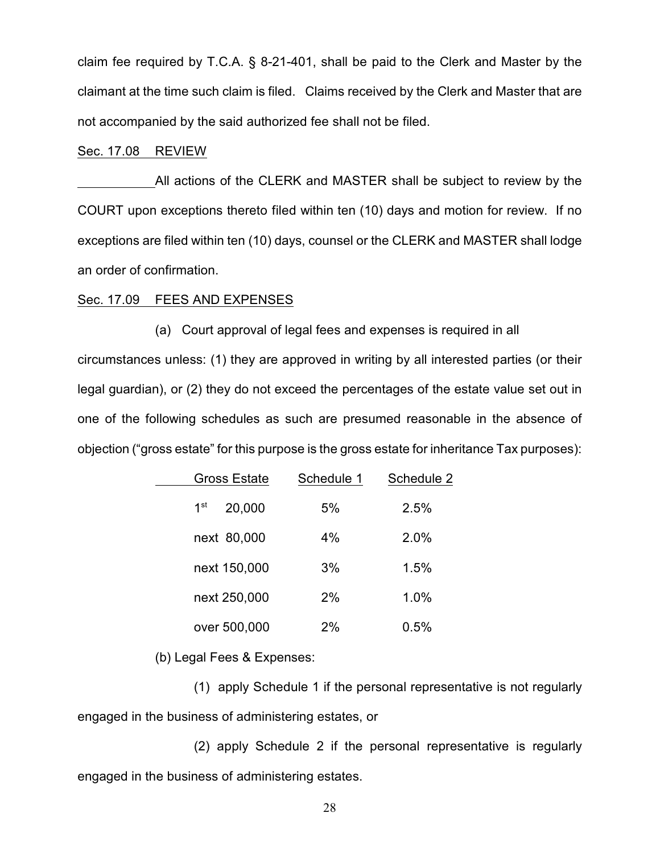claim fee required by T.C.A. § 8-21-401, shall be paid to the Clerk and Master by the claimant at the time such claim is filed. Claims received by the Clerk and Master that are not accompanied by the said authorized fee shall not be filed.

#### Sec. 17.08 REVIEW

All actions of the CLERK and MASTER shall be subject to review by the COURT upon exceptions thereto filed within ten (10) days and motion for review. If no exceptions are filed within ten (10) days, counsel or the CLERK and MASTER shall lodge an order of confirmation.

#### Sec. 17.09 FEES AND EXPENSES

(a) Court approval of legal fees and expenses is required in all circumstances unless: (1) they are approved in writing by all interested parties (or their legal guardian), or (2) they do not exceed the percentages of the estate value set out in one of the following schedules as such are presumed reasonable in the absence of objection ("gross estate" for this purpose is the gross estate for inheritance Tax purposes):

| <b>Gross Estate</b>       | Schedule 1 | Schedule 2 |  |
|---------------------------|------------|------------|--|
| 1 <sup>st</sup><br>20,000 | 5%         | 2.5%       |  |
| next 80,000               | 4%         | 2.0%       |  |
| next 150,000              | 3%         | 1.5%       |  |
| next 250,000              | 2%         | 1.0%       |  |
| over 500,000              | 2%         | 0.5%       |  |

(b) Legal Fees & Expenses:

(1) apply Schedule 1 if the personal representative is not regularly engaged in the business of administering estates, or

(2) apply Schedule 2 if the personal representative is regularly engaged in the business of administering estates.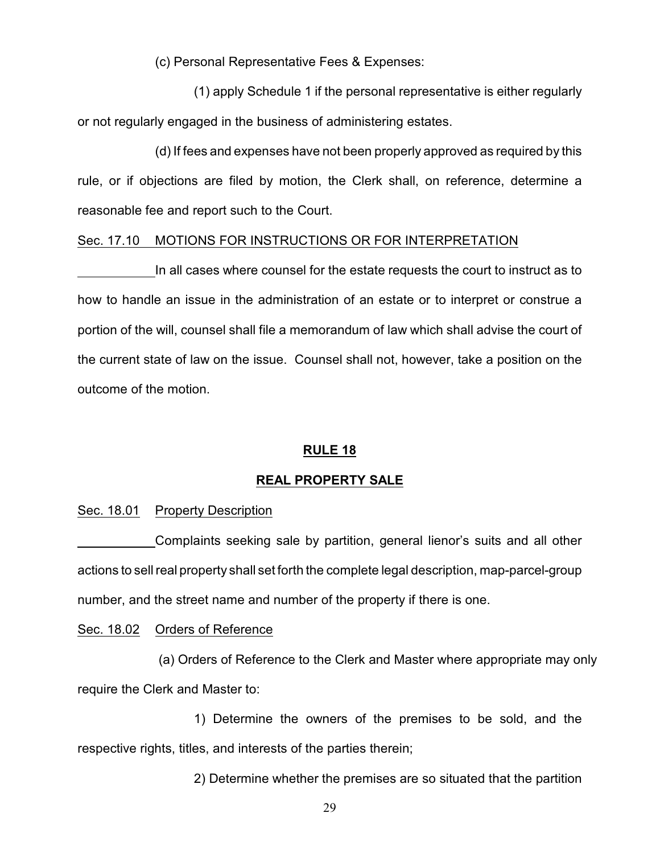(c) Personal Representative Fees & Expenses:

(1) apply Schedule 1 if the personal representative is either regularly or not regularly engaged in the business of administering estates.

(d) If fees and expenses have not been properly approved as required by this rule, or if objections are filed by motion, the Clerk shall, on reference, determine a reasonable fee and report such to the Court.

#### Sec. 17.10 MOTIONS FOR INSTRUCTIONS OR FOR INTERPRETATION

In all cases where counsel for the estate requests the court to instruct as to how to handle an issue in the administration of an estate or to interpret or construe a portion of the will, counsel shall file a memorandum of law which shall advise the court of the current state of law on the issue. Counsel shall not, however, take a position on the outcome of the motion.

### **RULE 18**

### **REAL PROPERTY SALE**

### Sec. 18.01 Property Description

Complaints seeking sale by partition, general lienor's suits and all other actions to sell real property shall set forth the complete legal description, map-parcel-group number, and the street name and number of the property if there is one.

#### Sec. 18.02 Orders of Reference

 (a) Orders of Reference to the Clerk and Master where appropriate may only require the Clerk and Master to:

1) Determine the owners of the premises to be sold, and the respective rights, titles, and interests of the parties therein;

2) Determine whether the premises are so situated that the partition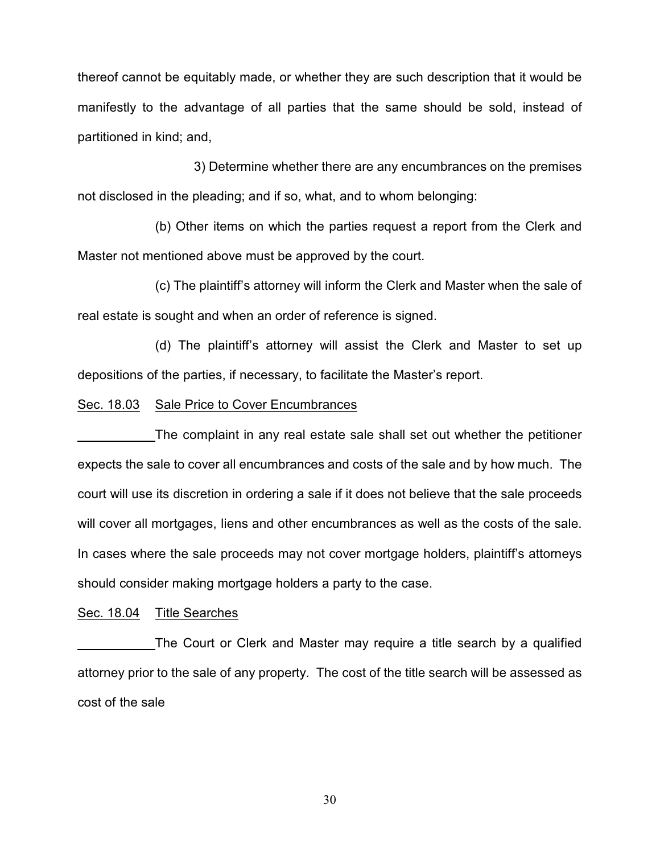thereof cannot be equitably made, or whether they are such description that it would be manifestly to the advantage of all parties that the same should be sold, instead of partitioned in kind; and,

3) Determine whether there are any encumbrances on the premises not disclosed in the pleading; and if so, what, and to whom belonging:

(b) Other items on which the parties request a report from the Clerk and Master not mentioned above must be approved by the court.

(c) The plaintiff's attorney will inform the Clerk and Master when the sale of real estate is sought and when an order of reference is signed.

(d) The plaintiff's attorney will assist the Clerk and Master to set up depositions of the parties, if necessary, to facilitate the Master's report.

### Sec. 18.03 Sale Price to Cover Encumbrances

The complaint in any real estate sale shall set out whether the petitioner expects the sale to cover all encumbrances and costs of the sale and by how much. The court will use its discretion in ordering a sale if it does not believe that the sale proceeds will cover all mortgages, liens and other encumbrances as well as the costs of the sale. In cases where the sale proceeds may not cover mortgage holders, plaintiff's attorneys should consider making mortgage holders a party to the case.

### Sec. 18.04 Title Searches

The Court or Clerk and Master may require a title search by a qualified attorney prior to the sale of any property. The cost of the title search will be assessed as cost of the sale